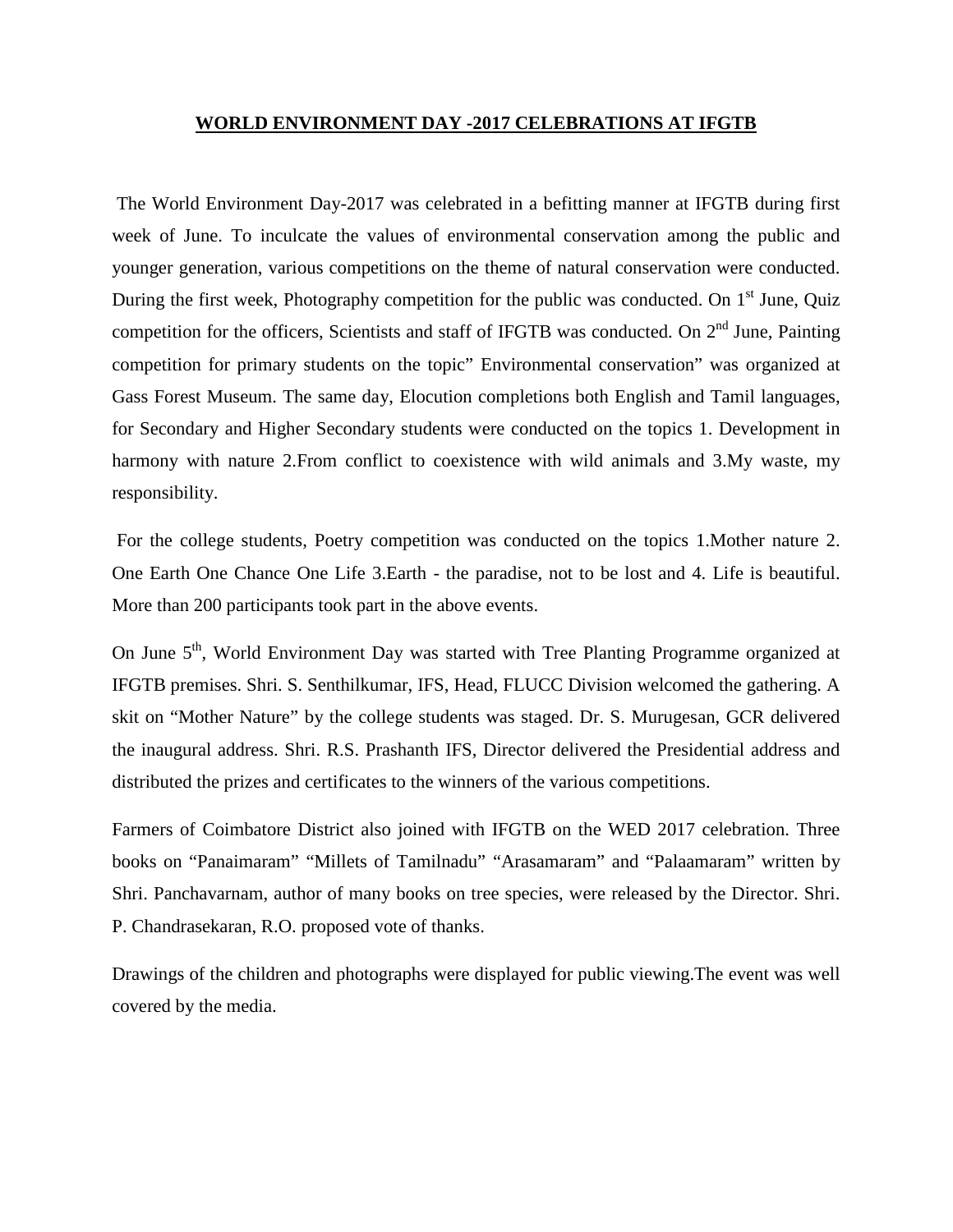## **WORLD ENVIRONMENT DAY -2017 CELEBRATIONS AT IFGTB**

The World Environment Day-2017 was celebrated in a befitting manner at IFGTB during first week of June. To inculcate the values of environmental conservation among the public and younger generation, various competitions on the theme of natural conservation were conducted. During the first week, Photography competition for the public was conducted. On  $1<sup>st</sup>$  June, Quiz competition for the officers, Scientists and staff of IFGTB was conducted. On  $2<sup>nd</sup>$  June, Painting competition for primary students on the topic" Environmental conservation" was organized at Gass Forest Museum. The same day, Elocution completions both English and Tamil languages, for Secondary and Higher Secondary students were conducted on the topics 1. Development in harmony with nature 2.From conflict to coexistence with wild animals and 3.My waste, my responsibility.

For the college students, Poetry competition was conducted on the topics 1.Mother nature 2. One Earth One Chance One Life 3.Earth - the paradise, not to be lost and 4. Life is beautiful. More than 200 participants took part in the above events.

On June 5<sup>th</sup>, World Environment Day was started with Tree Planting Programme organized at IFGTB premises. Shri. S. Senthilkumar, IFS, Head, FLUCC Division welcomed the gathering. A skit on "Mother Nature" by the college students was staged. Dr. S. Murugesan, GCR delivered the inaugural address. Shri. R.S. Prashanth IFS, Director delivered the Presidential address and distributed the prizes and certificates to the winners of the various competitions.

Farmers of Coimbatore District also joined with IFGTB on the WED 2017 celebration. Three books on "Panaimaram" "Millets of Tamilnadu" "Arasamaram" and "Palaamaram" written by Shri. Panchavarnam, author of many books on tree species, were released by the Director. Shri. P. Chandrasekaran, R.O. proposed vote of thanks.

Drawings of the children and photographs were displayed for public viewing.The event was well covered by the media.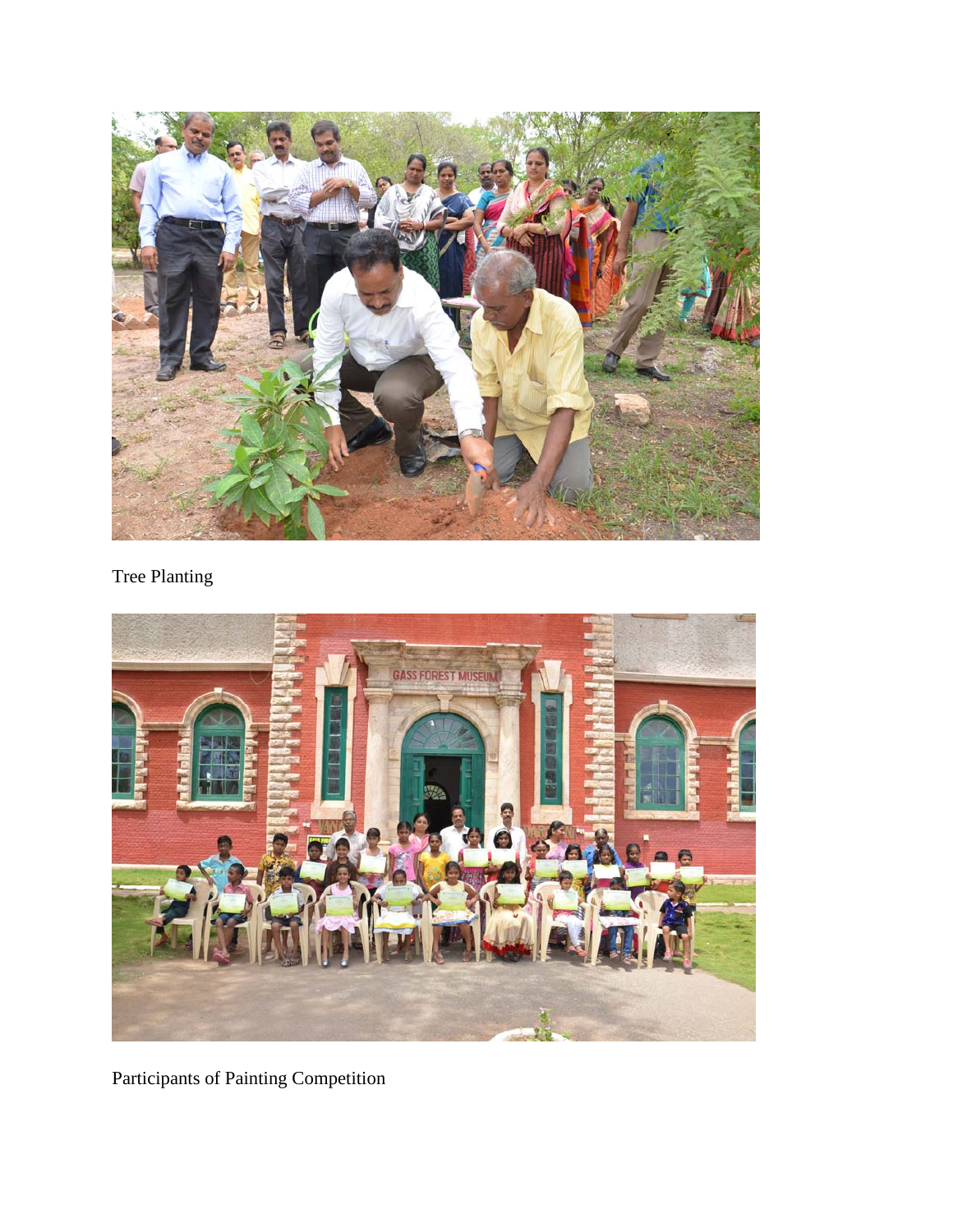

## Tree Planting



Participants of Painting Competition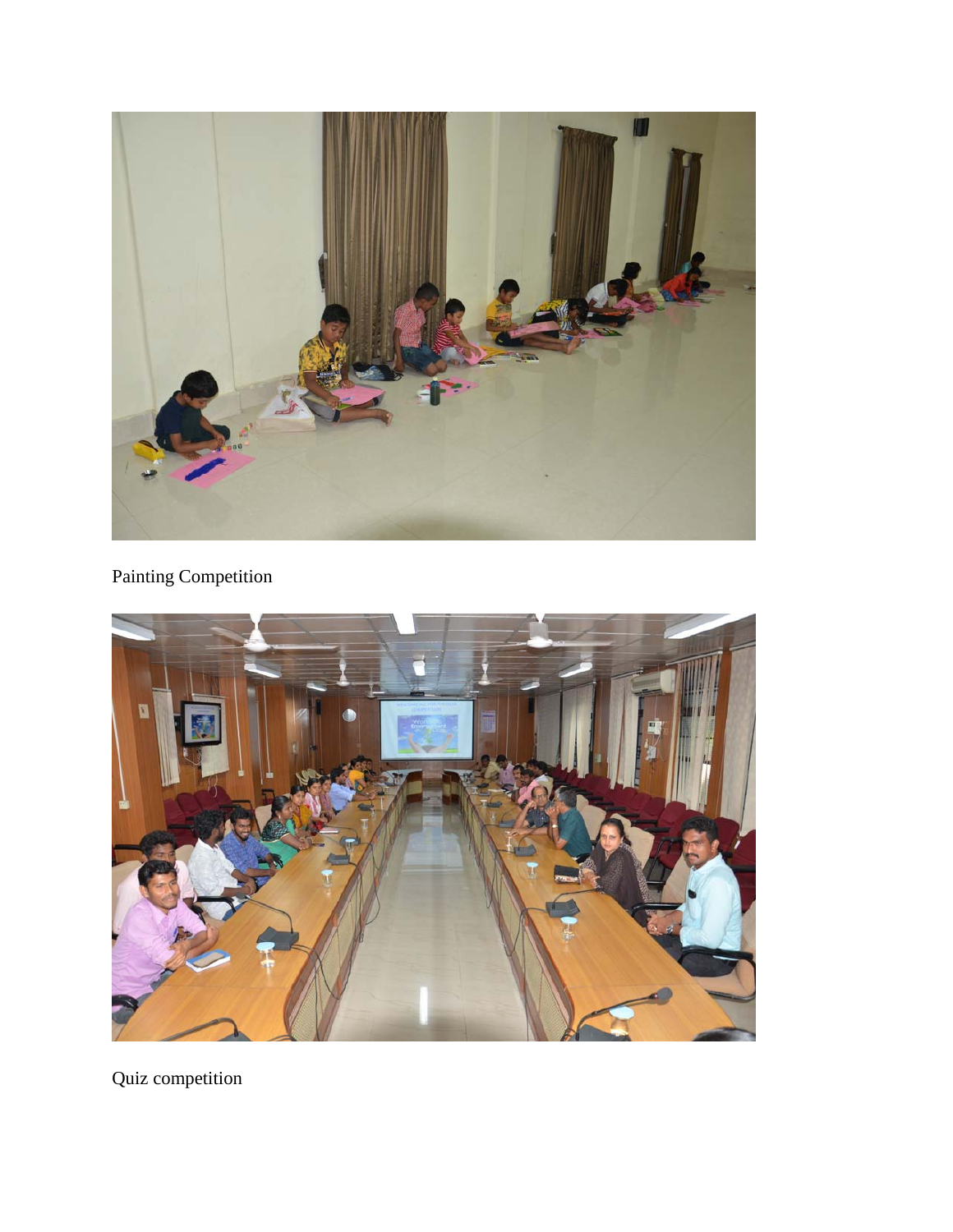

## Painting Competition



Quiz competition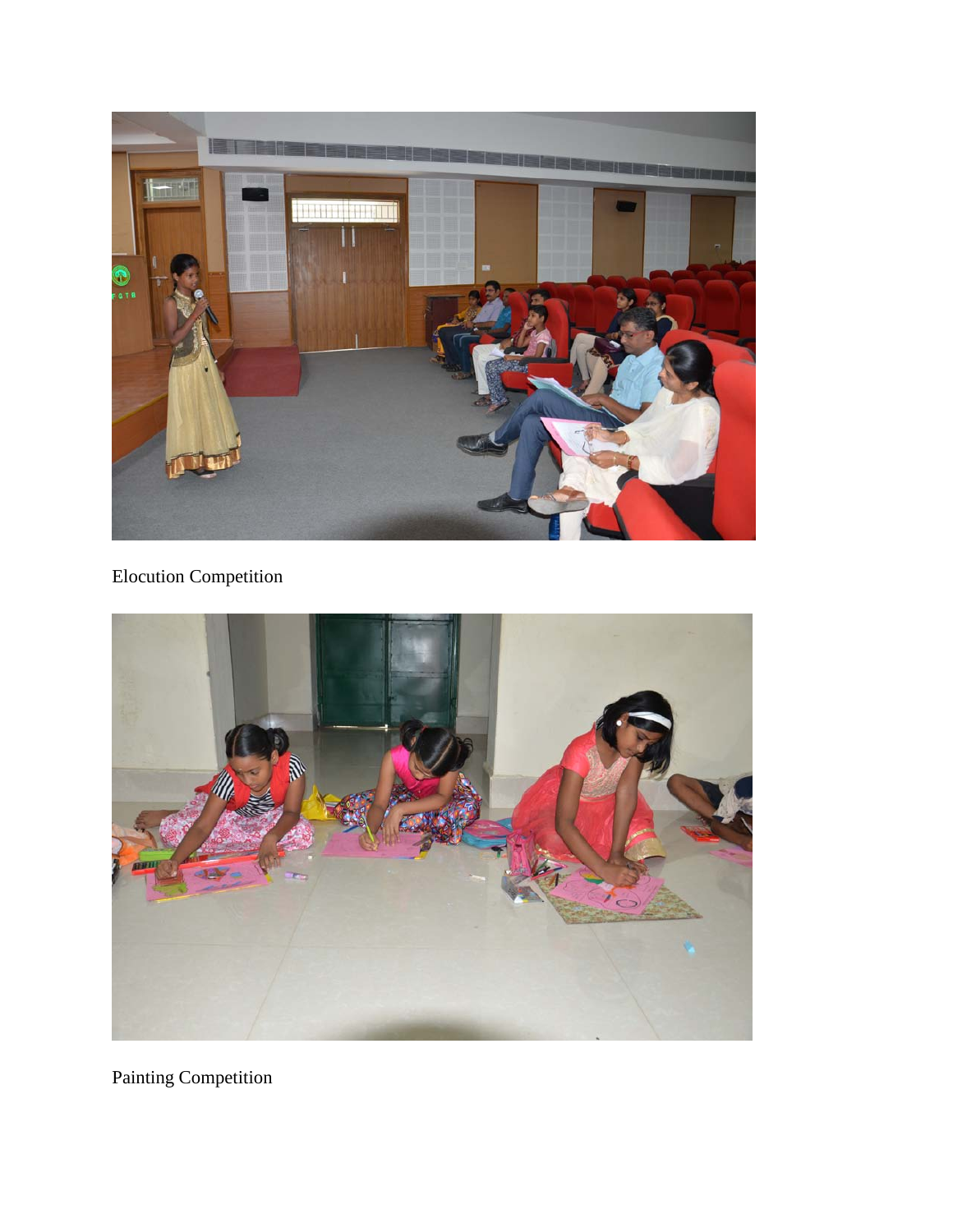

## Elocution Competition



Painting Competition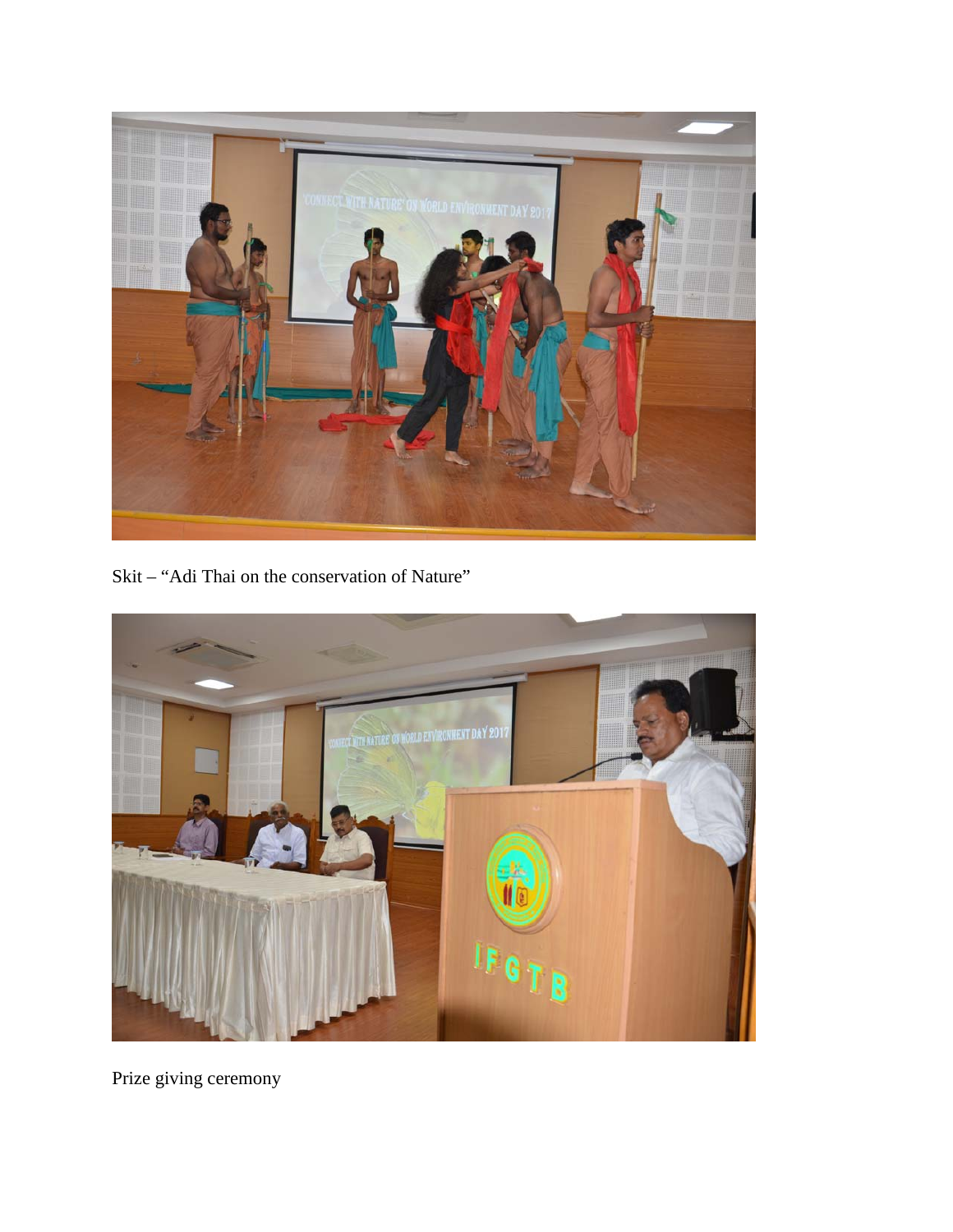

Skit - "Adi Thai on the conservation of Nature"



Prize giving ceremony